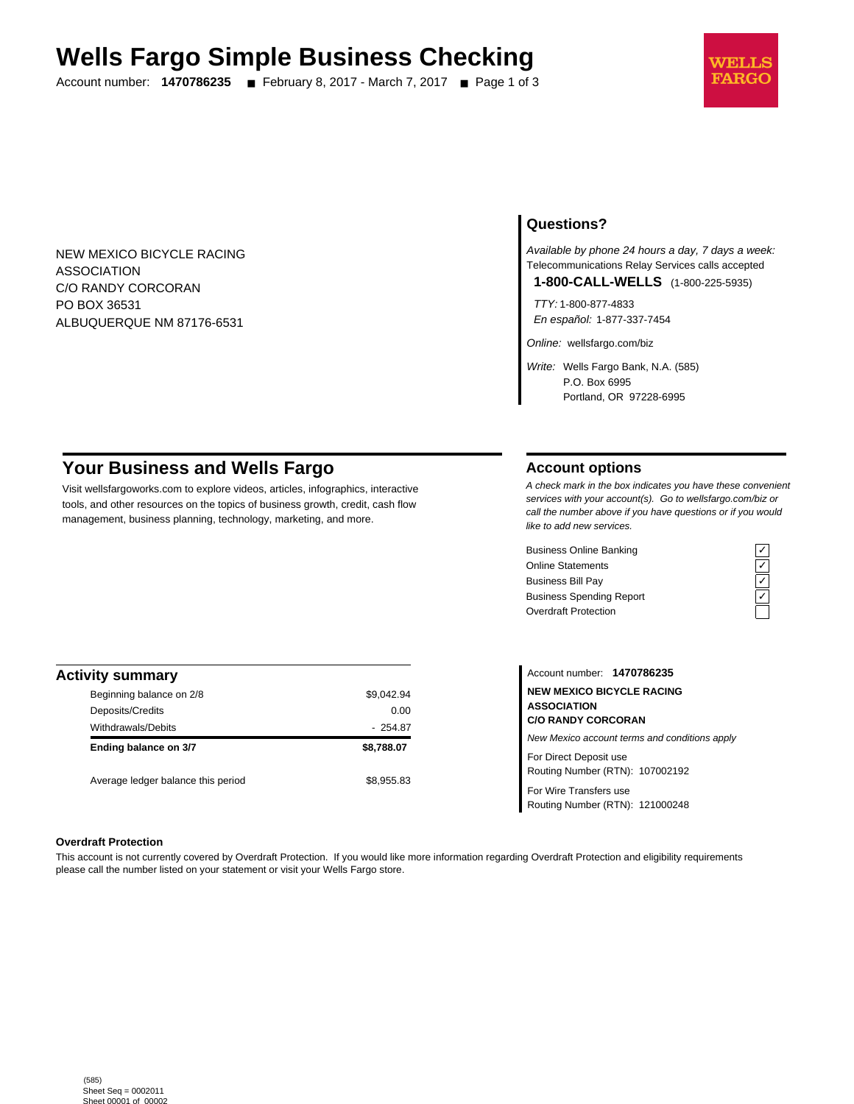# **Wells Fargo Simple Business Checking**

Account number: **1470786235** ■ February 8, 2017 - March 7, 2017 ■ Page 1 of 3



NEW MEXICO BICYCLE RACING ASSOCIATION C/O RANDY CORCORAN PO BOX 36531 ALBUQUERQUE NM 87176-6531

## **Questions?**

Available by phone 24 hours a day, 7 days a week: Telecommunications Relay Services calls accepted **1-800-CALL-WELLS** (1-800-225-5935)

TTY: 1-800-877-4833

En español: 1-877-337-7454

Online: wellsfargo.com/biz

Write: Wells Fargo Bank, N.A. (585) P.O. Box 6995 Portland, OR 97228-6995

# **Your Business and Wells Fargo**

Visit wellsfargoworks.com to explore videos, articles, infographics, interactive tools, and other resources on the topics of business growth, credit, cash flow management, business planning, technology, marketing, and more.

## **Account options**

A check mark in the box indicates you have these convenient services with your account(s). Go to wellsfargo.com/biz or call the number above if you have questions or if you would like to add new services.

Business Online Banking<br>
Online Statements<br>
Business Bill Pay<br>
Business Spending Report<br>  $\overline{C}$ <br>
Overdraft Protection Online Statements Business Bill Pay Business Spending Report Overdraft Protection



| <b>Activity summary</b>            |            |
|------------------------------------|------------|
| Beginning balance on 2/8           | \$9,042.94 |
| Deposits/Credits                   | 0.00       |
| Withdrawals/Debits                 | $-254.87$  |
| Ending balance on 3/7              | \$8,788,07 |
| Average ledger balance this period | \$8.955.83 |

Account number: **1470786235 NEW MEXICO BICYCLE RACING ASSOCIATION C/O RANDY CORCORAN** New Mexico account terms and conditions apply For Direct Deposit use Routing Number (RTN): 107002192

For Wire Transfers use Routing Number (RTN): 121000248

#### **Overdraft Protection**

This account is not currently covered by Overdraft Protection. If you would like more information regarding Overdraft Protection and eligibility requirements please call the number listed on your statement or visit your Wells Fargo store.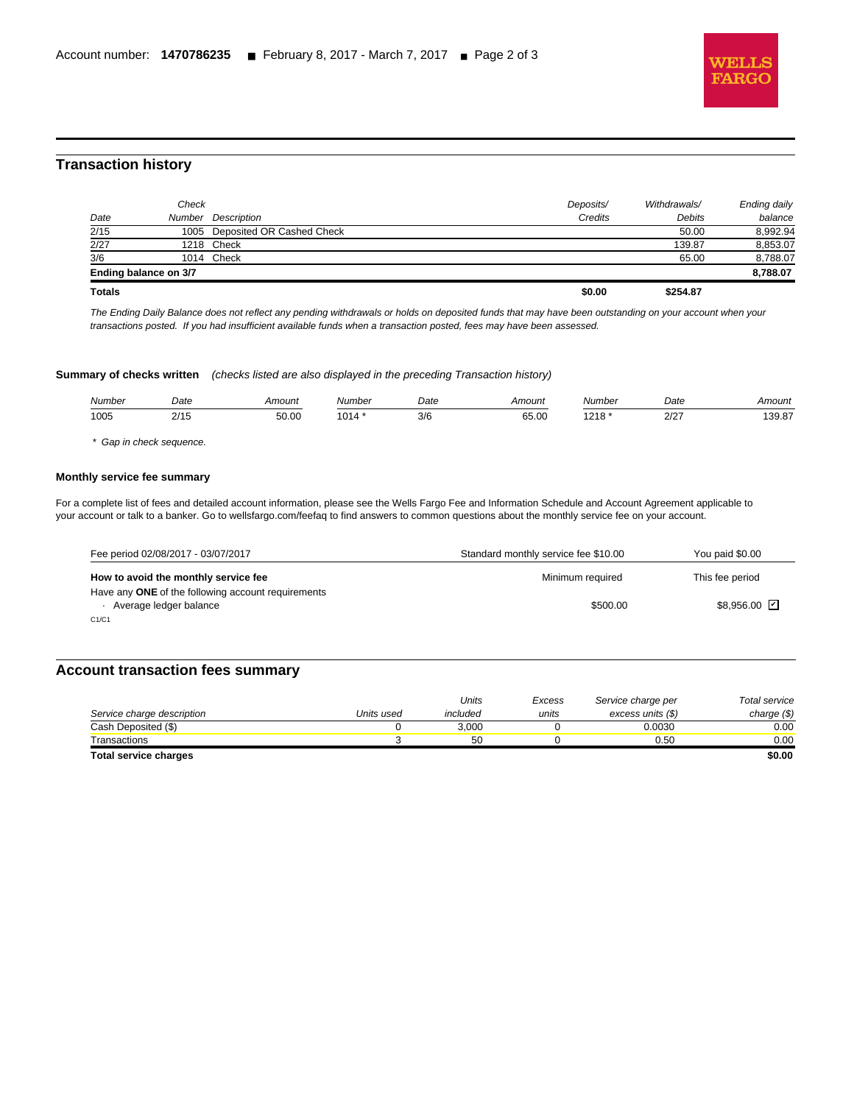

## **Transaction history**

l

| <b>Totals</b> |                       |                                | \$0.00    | \$254.87     |              |
|---------------|-----------------------|--------------------------------|-----------|--------------|--------------|
|               | Ending balance on 3/7 |                                |           |              | 8.788.07     |
| 3/6           |                       | 1014 Check                     |           | 65.00        | 8,788.07     |
| 2/27          |                       | 1218 Check                     |           | 139.87       | 8,853.07     |
| 2/15          |                       | 1005 Deposited OR Cashed Check |           | 50.00        | 8,992.94     |
| Date          |                       | Number Description             | Credits   | Debits       | balance      |
|               | Check                 |                                | Deposits/ | Withdrawals/ | Ending daily |
|               |                       |                                |           |              |              |

The Ending Daily Balance does not reflect any pending withdrawals or holds on deposited funds that may have been outstanding on your account when your transactions posted. If you had insufficient available funds when a transaction posted, fees may have been assessed.

**Summary of checks written** (checks listed are also displayed in the preceding Transaction history)

| Number | Date             | Amount | Number | Date | Amount                | Number        | Date | Amount |
|--------|------------------|--------|--------|------|-----------------------|---------------|------|--------|
| 1005   | $\sim$ 14 $\sim$ | 50.00  | ٔ 1014 | 3/6  | 65.00<br>. <b>. .</b> | 040<br>$\sim$ | 2/27 | 39.87  |

\* Gap in check sequence.

#### **Monthly service fee summary**

For a complete list of fees and detailed account information, please see the Wells Fargo Fee and Information Schedule and Account Agreement applicable to your account or talk to a banker. Go to wellsfargo.com/feefaq to find answers to common questions about the monthly service fee on your account.

| Fee period 02/08/2017 - 03/07/2017                                           | Standard monthly service fee \$10.00 | You paid \$0.00    |
|------------------------------------------------------------------------------|--------------------------------------|--------------------|
| How to avoid the monthly service fee                                         | Minimum required                     | This fee period    |
| Have any ONE of the following account requirements<br>Average ledger balance | \$500.00                             | $$8,956.00$ $\Box$ |
| C1/C1                                                                        |                                      |                    |

## **Account transaction fees summary**

|                            |            | Units    | Excess | Service charge per | Total service |
|----------------------------|------------|----------|--------|--------------------|---------------|
| Service charge description | Units used | included | units  | excess units (\$)  | charge $(\$)$ |
| Cash Deposited (\$)        |            | 3.000    |        | 0.0030             | 0.00          |
| Transactions               |            | 50       |        | 0.50               | 0.00          |
| Total service charges      |            |          |        |                    | \$0.00        |